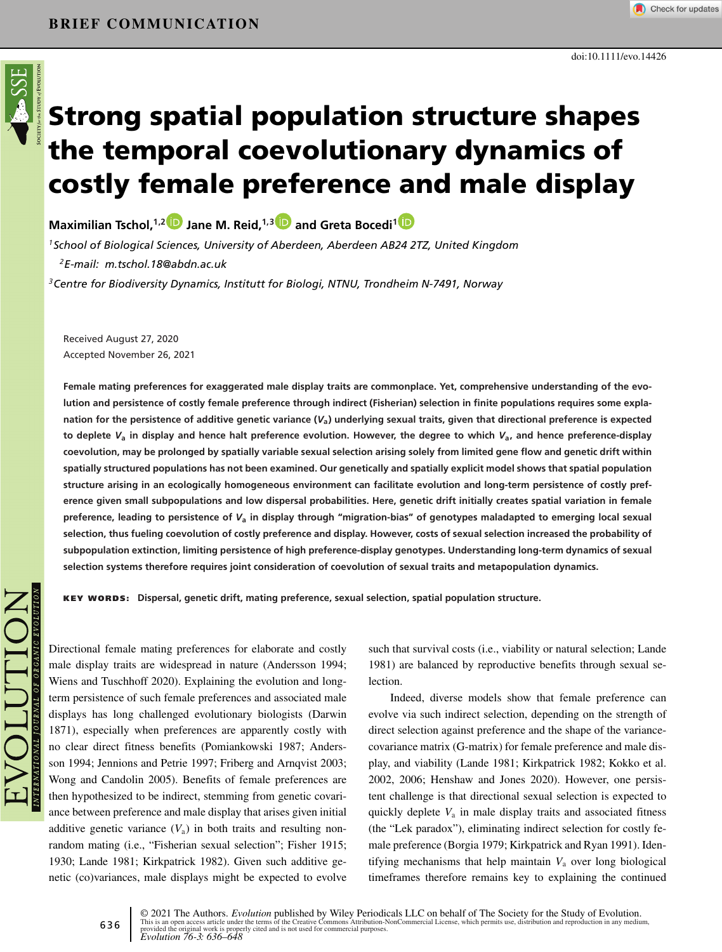

# **Strong spatial population structure shapes the temporal coevolutionary dynamics of costly female preference and male display**

**Maximilian Tschol,1,[2](https://orcid.org/0000-0002-8161-4279) Jane M. Reid,1,[3](https://orcid.org/0000-0002-5007-7343) and Greta Bocedi[1](https://orcid.org/0000-0002-9131-6670)**

*1School of Biological Sciences, University of Aberdeen, Aberdeen AB24 2TZ, United Kingdom 2E-mail: m.tschol.18@abdn.ac.uk*

*3Centre for Biodiversity Dynamics, Institutt for Biologi, NTNU, Trondheim N-7491, Norway*

Received August 27, 2020 Accepted November 26, 2021

**Female mating preferences for exaggerated male display traits are commonplace. Yet, comprehensive understanding of the evolution and persistence of costly female preference through indirect (Fisherian) selection in finite populations requires some explanation for the persistence of additive genetic variance (***V***a) underlying sexual traits, given that directional preference is expected to deplete** *V***<sup>a</sup> in display and hence halt preference evolution. However, the degree to which** *V***a, and hence preference-display coevolution, may be prolonged by spatially variable sexual selection arising solely from limited gene flow and genetic drift within spatially structured populations has not been examined. Our genetically and spatially explicit model shows that spatial population structure arising in an ecologically homogeneous environment can facilitate evolution and long-term persistence of costly preference given small subpopulations and low dispersal probabilities. Here, genetic drift initially creates spatial variation in female preference, leading to persistence of** *V***<sup>a</sup> in display through "migration-bias" of genotypes maladapted to emerging local sexual selection, thus fueling coevolution of costly preference and display. However, costs of sexual selection increased the probability of subpopulation extinction, limiting persistence of high preference-display genotypes. Understanding long-term dynamics of sexual selection systems therefore requires joint consideration of coevolution of sexual traits and metapopulation dynamics.**

**KEY WORDS: Dispersal, genetic drift, mating preference, sexual selection, spatial population structure.**

Directional female mating preferences for elaborate and costly male display traits are widespread in nature (Andersson 1994; Wiens and Tuschhoff 2020). Explaining the evolution and longterm persistence of such female preferences and associated male displays has long challenged evolutionary biologists (Darwin 1871), especially when preferences are apparently costly with no clear direct fitness benefits (Pomiankowski 1987; Andersson 1994; Jennions and Petrie 1997; Friberg and Arnqvist 2003; Wong and Candolin 2005). Benefits of female preferences are then hypothesized to be indirect, stemming from genetic covariance between preference and male display that arises given initial additive genetic variance  $(V_a)$  in both traits and resulting nonrandom mating (i.e., "Fisherian sexual selection"; Fisher 1915; 1930; Lande 1981; Kirkpatrick 1982). Given such additive genetic (co)variances, male displays might be expected to evolve

such that survival costs (i.e., viability or natural selection; Lande 1981) are balanced by reproductive benefits through sexual selection.

Indeed, diverse models show that female preference can evolve via such indirect selection, depending on the strength of direct selection against preference and the shape of the variancecovariance matrix (G-matrix) for female preference and male display, and viability (Lande 1981; Kirkpatrick 1982; Kokko et al. 2002, 2006; Henshaw and Jones 2020). However, one persistent challenge is that directional sexual selection is expected to quickly deplete  $V_a$  in male display traits and associated fitness (the "Lek paradox"), eliminating indirect selection for costly female preference (Borgia 1979; Kirkpatrick and Ryan 1991). Identifying mechanisms that help maintain *V*<sup>a</sup> over long biological timeframes therefore remains key to explaining the continued

© 2021 The Authors. *Evolution* published by Wiley Periodicals LLC on behalf of The Society for the Study of Evolution.<br>This is an open access article under the terms of the [Creative Commons Attribution-NonCommercial](http://creativecommons.org/licenses/by-nc/4.0/) Licen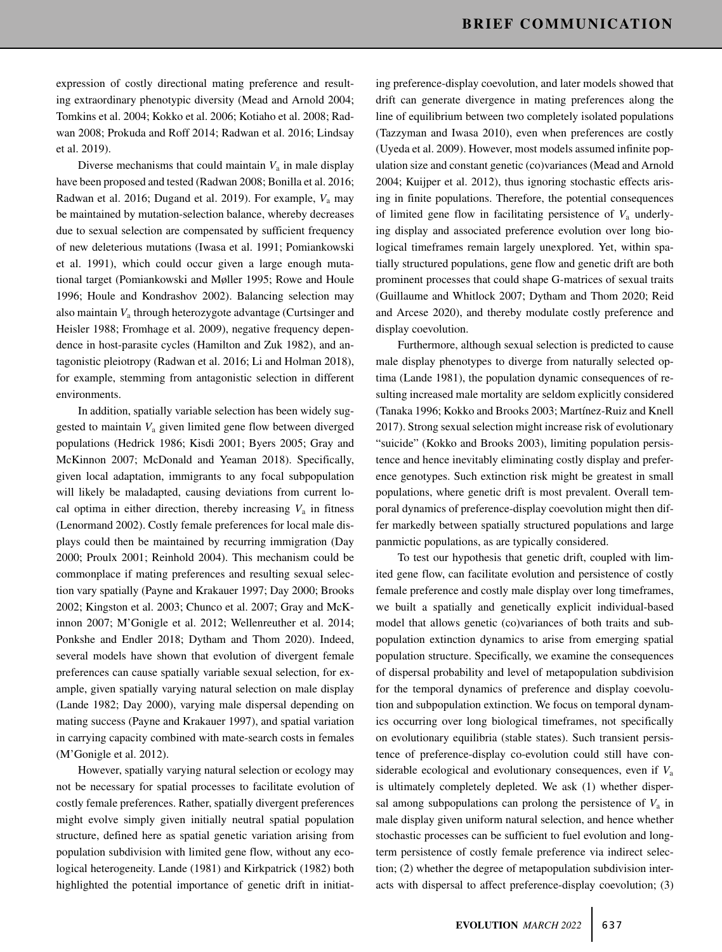expression of costly directional mating preference and resulting extraordinary phenotypic diversity (Mead and Arnold 2004; Tomkins et al. 2004; Kokko et al. 2006; Kotiaho et al. 2008; Radwan 2008; Prokuda and Roff 2014; Radwan et al. 2016; Lindsay et al. 2019).

Diverse mechanisms that could maintain  $V_a$  in male display have been proposed and tested (Radwan 2008; Bonilla et al. 2016; Radwan et al. 2016; Dugand et al. 2019). For example, *V*<sup>a</sup> may be maintained by mutation-selection balance, whereby decreases due to sexual selection are compensated by sufficient frequency of new deleterious mutations (Iwasa et al. 1991; Pomiankowski et al. 1991), which could occur given a large enough mutational target (Pomiankowski and Møller 1995; Rowe and Houle 1996; Houle and Kondrashov 2002). Balancing selection may also maintain *V*<sup>a</sup> through heterozygote advantage (Curtsinger and Heisler 1988; Fromhage et al. 2009), negative frequency dependence in host-parasite cycles (Hamilton and Zuk 1982), and antagonistic pleiotropy (Radwan et al. 2016; Li and Holman 2018), for example, stemming from antagonistic selection in different environments.

In addition, spatially variable selection has been widely suggested to maintain *V*<sup>a</sup> given limited gene flow between diverged populations (Hedrick 1986; Kisdi 2001; Byers 2005; Gray and McKinnon 2007; McDonald and Yeaman 2018). Specifically, given local adaptation, immigrants to any focal subpopulation will likely be maladapted, causing deviations from current local optima in either direction, thereby increasing  $V_a$  in fitness (Lenormand 2002). Costly female preferences for local male displays could then be maintained by recurring immigration (Day 2000; Proulx 2001; Reinhold 2004). This mechanism could be commonplace if mating preferences and resulting sexual selection vary spatially (Payne and Krakauer 1997; Day 2000; Brooks 2002; Kingston et al. 2003; Chunco et al. 2007; Gray and McKinnon 2007; M'Gonigle et al. 2012; Wellenreuther et al. 2014; Ponkshe and Endler 2018; Dytham and Thom 2020). Indeed, several models have shown that evolution of divergent female preferences can cause spatially variable sexual selection, for example, given spatially varying natural selection on male display (Lande 1982; Day 2000), varying male dispersal depending on mating success (Payne and Krakauer 1997), and spatial variation in carrying capacity combined with mate-search costs in females (M'Gonigle et al. 2012).

However, spatially varying natural selection or ecology may not be necessary for spatial processes to facilitate evolution of costly female preferences. Rather, spatially divergent preferences might evolve simply given initially neutral spatial population structure, defined here as spatial genetic variation arising from population subdivision with limited gene flow, without any ecological heterogeneity. Lande (1981) and Kirkpatrick (1982) both highlighted the potential importance of genetic drift in initiating preference-display coevolution, and later models showed that drift can generate divergence in mating preferences along the line of equilibrium between two completely isolated populations (Tazzyman and Iwasa 2010), even when preferences are costly (Uyeda et al. 2009). However, most models assumed infinite population size and constant genetic (co)variances (Mead and Arnold 2004; Kuijper et al. 2012), thus ignoring stochastic effects arising in finite populations. Therefore, the potential consequences of limited gene flow in facilitating persistence of *V*<sup>a</sup> underlying display and associated preference evolution over long biological timeframes remain largely unexplored. Yet, within spatially structured populations, gene flow and genetic drift are both prominent processes that could shape G-matrices of sexual traits (Guillaume and Whitlock 2007; Dytham and Thom 2020; Reid and Arcese 2020), and thereby modulate costly preference and display coevolution.

Furthermore, although sexual selection is predicted to cause male display phenotypes to diverge from naturally selected optima (Lande 1981), the population dynamic consequences of resulting increased male mortality are seldom explicitly considered (Tanaka 1996; Kokko and Brooks 2003; Martínez-Ruiz and Knell 2017). Strong sexual selection might increase risk of evolutionary "suicide" (Kokko and Brooks 2003), limiting population persistence and hence inevitably eliminating costly display and preference genotypes. Such extinction risk might be greatest in small populations, where genetic drift is most prevalent. Overall temporal dynamics of preference-display coevolution might then differ markedly between spatially structured populations and large panmictic populations, as are typically considered.

To test our hypothesis that genetic drift, coupled with limited gene flow, can facilitate evolution and persistence of costly female preference and costly male display over long timeframes, we built a spatially and genetically explicit individual-based model that allows genetic (co)variances of both traits and subpopulation extinction dynamics to arise from emerging spatial population structure. Specifically, we examine the consequences of dispersal probability and level of metapopulation subdivision for the temporal dynamics of preference and display coevolution and subpopulation extinction. We focus on temporal dynamics occurring over long biological timeframes, not specifically on evolutionary equilibria (stable states). Such transient persistence of preference-display co-evolution could still have considerable ecological and evolutionary consequences, even if *V*<sup>a</sup> is ultimately completely depleted. We ask (1) whether dispersal among subpopulations can prolong the persistence of  $V_a$  in male display given uniform natural selection, and hence whether stochastic processes can be sufficient to fuel evolution and longterm persistence of costly female preference via indirect selection; (2) whether the degree of metapopulation subdivision interacts with dispersal to affect preference-display coevolution; (3)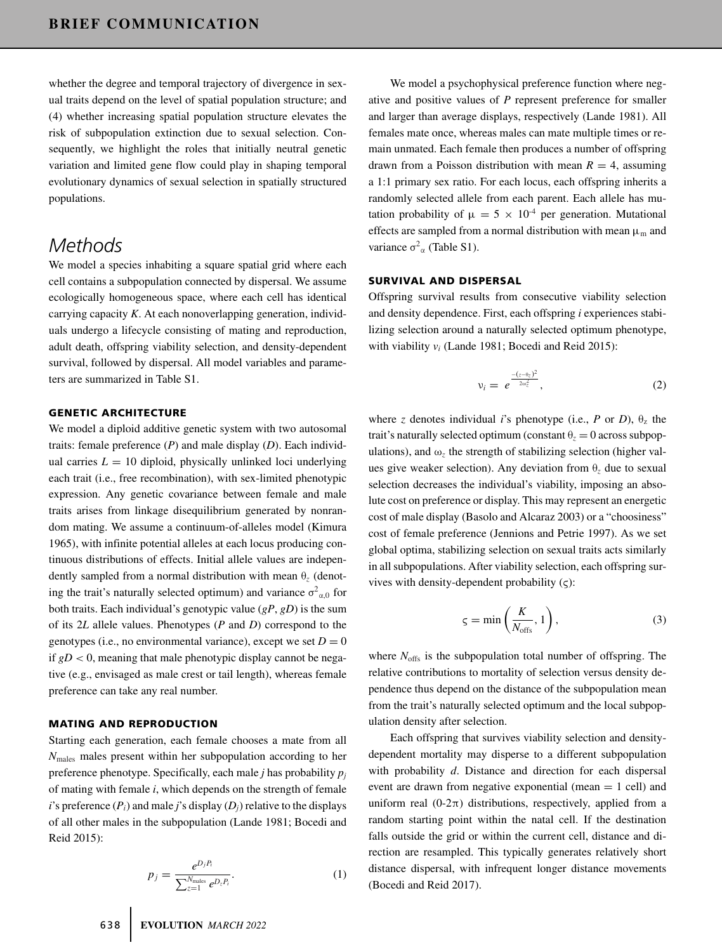whether the degree and temporal trajectory of divergence in sexual traits depend on the level of spatial population structure; and (4) whether increasing spatial population structure elevates the risk of subpopulation extinction due to sexual selection. Consequently, we highlight the roles that initially neutral genetic variation and limited gene flow could play in shaping temporal evolutionary dynamics of sexual selection in spatially structured populations.

# *Methods*

We model a species inhabiting a square spatial grid where each cell contains a subpopulation connected by dispersal. We assume ecologically homogeneous space, where each cell has identical carrying capacity *K*. At each nonoverlapping generation, individuals undergo a lifecycle consisting of mating and reproduction, adult death, offspring viability selection, and density-dependent survival, followed by dispersal. All model variables and parameters are summarized in Table S1.

#### **GENETIC ARCHITECTURE**

We model a diploid additive genetic system with two autosomal traits: female preference (*P*) and male display (*D*). Each individual carries  $L = 10$  diploid, physically unlinked loci underlying each trait (i.e., free recombination), with sex-limited phenotypic expression. Any genetic covariance between female and male traits arises from linkage disequilibrium generated by nonrandom mating. We assume a continuum-of-alleles model (Kimura 1965), with infinite potential alleles at each locus producing continuous distributions of effects. Initial allele values are independently sampled from a normal distribution with mean θ*<sup>z</sup>* (denoting the trait's naturally selected optimum) and variance  $\sigma^2_{\alpha,0}$  for both traits. Each individual's genotypic value (*gP*, *gD*) is the sum of its 2*L* allele values. Phenotypes (*P* and *D*) correspond to the genotypes (i.e., no environmental variance), except we set  $D = 0$ if  $gD < 0$ , meaning that male phenotypic display cannot be negative (e.g., envisaged as male crest or tail length), whereas female preference can take any real number.

### **MATING AND REPRODUCTION**

Starting each generation, each female chooses a mate from all *N*males males present within her subpopulation according to her preference phenotype. Specifically, each male *j* has probability *pj* of mating with female *i*, which depends on the strength of female *i*'s preference  $(P_i)$  and male *j*'s display  $(D_i)$  relative to the displays of all other males in the subpopulation (Lande 1981; Bocedi and Reid 2015):

$$
p_j = \frac{e^{D_j P_i}}{\sum_{z=1}^{N_{\text{males}}} e^{D_z P_i}}.
$$
 (1)

We model a psychophysical preference function where negative and positive values of *P* represent preference for smaller and larger than average displays, respectively (Lande 1981). All females mate once, whereas males can mate multiple times or remain unmated. Each female then produces a number of offspring drawn from a Poisson distribution with mean  $R = 4$ , assuming a 1:1 primary sex ratio. For each locus, each offspring inherits a randomly selected allele from each parent. Each allele has mutation probability of  $\mu = 5 \times 10^{-4}$  per generation. Mutational effects are sampled from a normal distribution with mean  $\mu_m$  and variance  $\sigma^2_{\alpha}$  (Table S1).

## **SURVIVAL AND DISPERSAL**

Offspring survival results from consecutive viability selection and density dependence. First, each offspring *i* experiences stabilizing selection around a naturally selected optimum phenotype, with viability *vi* (Lande 1981; Bocedi and Reid 2015):

$$
v_i = e^{\frac{-(z-\theta_z)^2}{2\omega_z^2}}, \tag{2}
$$

where *z* denotes individual *i*'s phenotype (i.e., *P* or *D*),  $\theta$ <sub>z</sub> the trait's naturally selected optimum (constant  $\theta$ <sub>z</sub> = 0 across subpopulations), and  $\omega$ <sub>z</sub> the strength of stabilizing selection (higher values give weaker selection). Any deviation from θ*<sup>z</sup>* due to sexual selection decreases the individual's viability, imposing an absolute cost on preference or display. This may represent an energetic cost of male display (Basolo and Alcaraz 2003) or a "choosiness" cost of female preference (Jennions and Petrie 1997). As we set global optima, stabilizing selection on sexual traits acts similarly in all subpopulations. After viability selection, each offspring survives with density-dependent probability  $(\varsigma)$ :

$$
\varsigma = \min\left(\frac{K}{N_{\text{offs}}}, 1\right),\tag{3}
$$

where  $N_{\text{offs}}$  is the subpopulation total number of offspring. The relative contributions to mortality of selection versus density dependence thus depend on the distance of the subpopulation mean from the trait's naturally selected optimum and the local subpopulation density after selection.

Each offspring that survives viability selection and densitydependent mortality may disperse to a different subpopulation with probability *d*. Distance and direction for each dispersal event are drawn from negative exponential (mean  $= 1$  cell) and uniform real  $(0-2\pi)$  distributions, respectively, applied from a random starting point within the natal cell. If the destination falls outside the grid or within the current cell, distance and direction are resampled. This typically generates relatively short distance dispersal, with infrequent longer distance movements (Bocedi and Reid 2017).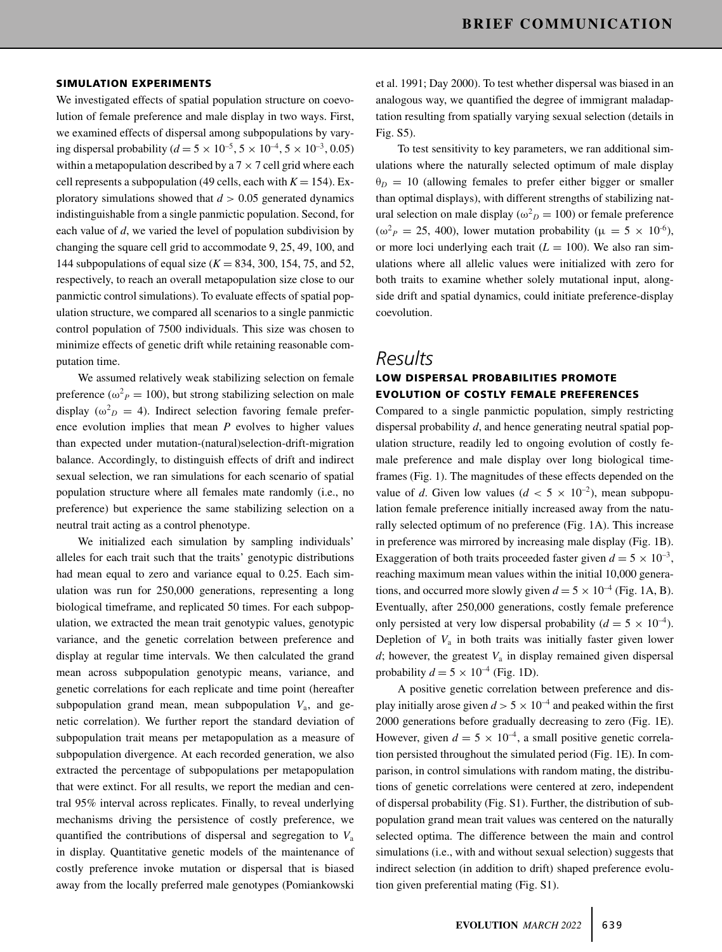#### **SIMULATION EXPERIMENTS**

We investigated effects of spatial population structure on coevolution of female preference and male display in two ways. First, we examined effects of dispersal among subpopulations by varying dispersal probability ( $d = 5 \times 10^{-5}$ ,  $5 \times 10^{-4}$ ,  $5 \times 10^{-3}$ , 0.05) within a metapopulation described by a  $7 \times 7$  cell grid where each cell represents a subpopulation (49 cells, each with  $K = 154$ ). Exploratory simulations showed that  $d > 0.05$  generated dynamics indistinguishable from a single panmictic population. Second, for each value of *d*, we varied the level of population subdivision by changing the square cell grid to accommodate 9, 25, 49, 100, and 144 subpopulations of equal size (*K* = 834, 300, 154, 75, and 52, respectively, to reach an overall metapopulation size close to our panmictic control simulations). To evaluate effects of spatial population structure, we compared all scenarios to a single panmictic control population of 7500 individuals. This size was chosen to minimize effects of genetic drift while retaining reasonable computation time.

We assumed relatively weak stabilizing selection on female preference ( $\omega_p^2 = 100$ ), but strong stabilizing selection on male display ( $\omega_D^2 = 4$ ). Indirect selection favoring female preference evolution implies that mean *P* evolves to higher values than expected under mutation-(natural)selection-drift-migration balance. Accordingly, to distinguish effects of drift and indirect sexual selection, we ran simulations for each scenario of spatial population structure where all females mate randomly (i.e., no preference) but experience the same stabilizing selection on a neutral trait acting as a control phenotype.

We initialized each simulation by sampling individuals' alleles for each trait such that the traits' genotypic distributions had mean equal to zero and variance equal to 0.25. Each simulation was run for 250,000 generations, representing a long biological timeframe, and replicated 50 times. For each subpopulation, we extracted the mean trait genotypic values, genotypic variance, and the genetic correlation between preference and display at regular time intervals. We then calculated the grand mean across subpopulation genotypic means, variance, and genetic correlations for each replicate and time point (hereafter subpopulation grand mean, mean subpopulation *V*a, and genetic correlation). We further report the standard deviation of subpopulation trait means per metapopulation as a measure of subpopulation divergence. At each recorded generation, we also extracted the percentage of subpopulations per metapopulation that were extinct. For all results, we report the median and central 95% interval across replicates. Finally, to reveal underlying mechanisms driving the persistence of costly preference, we quantified the contributions of dispersal and segregation to *V*<sup>a</sup> in display. Quantitative genetic models of the maintenance of costly preference invoke mutation or dispersal that is biased away from the locally preferred male genotypes (Pomiankowski

et al. 1991; Day 2000). To test whether dispersal was biased in an analogous way, we quantified the degree of immigrant maladaptation resulting from spatially varying sexual selection (details in Fig. S5).

To test sensitivity to key parameters, we ran additional simulations where the naturally selected optimum of male display  $\theta_D = 10$  (allowing females to prefer either bigger or smaller than optimal displays), with different strengths of stabilizing natural selection on male display ( $\omega_D^2 = 100$ ) or female preference ( $\omega^2$ *P* = 25, 400), lower mutation probability ( $\mu = 5 \times 10^{-6}$ ), or more loci underlying each trait  $(L = 100)$ . We also ran simulations where all allelic values were initialized with zero for both traits to examine whether solely mutational input, alongside drift and spatial dynamics, could initiate preference-display coevolution.

## *Results*

## **LOW DISPERSAL PROBABILITIES PROMOTE EVOLUTION OF COSTLY FEMALE PREFERENCES**

Compared to a single panmictic population, simply restricting dispersal probability *d*, and hence generating neutral spatial population structure, readily led to ongoing evolution of costly female preference and male display over long biological timeframes (Fig. 1). The magnitudes of these effects depended on the value of *d*. Given low values ( $d < 5 \times 10^{-2}$ ), mean subpopulation female preference initially increased away from the naturally selected optimum of no preference (Fig. 1A). This increase in preference was mirrored by increasing male display (Fig. 1B). Exaggeration of both traits proceeded faster given  $d = 5 \times 10^{-3}$ , reaching maximum mean values within the initial 10,000 generations, and occurred more slowly given  $d = 5 \times 10^{-4}$  (Fig. 1A, B). Eventually, after 250,000 generations, costly female preference only persisted at very low dispersal probability ( $d = 5 \times 10^{-4}$ ). Depletion of  $V_a$  in both traits was initially faster given lower  $d$ ; however, the greatest  $V<sub>a</sub>$  in display remained given dispersal probability  $d = 5 \times 10^{-4}$  (Fig. 1D).

A positive genetic correlation between preference and display initially arose given  $d > 5 \times 10^{-4}$  and peaked within the first 2000 generations before gradually decreasing to zero (Fig. 1E). However, given  $d = 5 \times 10^{-4}$ , a small positive genetic correlation persisted throughout the simulated period (Fig. 1E). In comparison, in control simulations with random mating, the distributions of genetic correlations were centered at zero, independent of dispersal probability (Fig. S1). Further, the distribution of subpopulation grand mean trait values was centered on the naturally selected optima. The difference between the main and control simulations (i.e., with and without sexual selection) suggests that indirect selection (in addition to drift) shaped preference evolution given preferential mating (Fig. S1).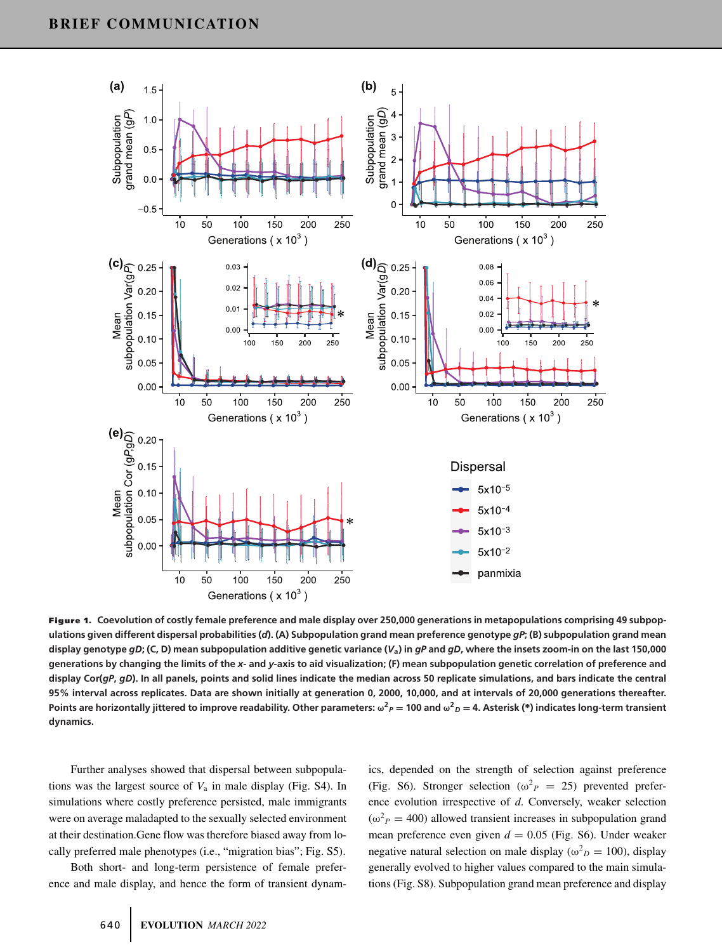

**Figure 1. Coevolution of costly female preference and male display over 250,000 generations in metapopulations comprising 49 subpopulations given different dispersal probabilities (***d***). (A) Subpopulation grand mean preference genotype** *gP***; (B) subpopulation grand mean display genotype** *gD***; (C, D) mean subpopulation additive genetic variance (***V***a) in** *gP* **and** *gD***, where the insets zoom-in on the last 150,000 generations by changing the limits of the** *x***- and** *y***-axis to aid visualization; (F) mean subpopulation genetic correlation of preference and display Cor(***gP***,** *gD***). In all panels, points and solid lines indicate the median across 50 replicate simulations, and bars indicate the central 95% interval across replicates. Data are shown initially at generation 0, 2000, 10,000, and at intervals of 20,000 generations thereafter.** Points are horizontally jittered to improve readability. Other parameters:  $\omega^2{}_{P}=$  100 and  $\omega^2{}_{D}=$  4. Asterisk (\*) indicates long-term transient **dynamics.**

Further analyses showed that dispersal between subpopulations was the largest source of *V*<sup>a</sup> in male display (Fig. S4). In simulations where costly preference persisted, male immigrants were on average maladapted to the sexually selected environment at their destination.Gene flow was therefore biased away from locally preferred male phenotypes (i.e., "migration bias"; Fig. S5).

Both short- and long-term persistence of female preference and male display, and hence the form of transient dynamics, depended on the strength of selection against preference (Fig. S6). Stronger selection ( $\omega_p^2 = 25$ ) prevented preference evolution irrespective of *d*. Conversely, weaker selection  $(\omega^2 P = 400)$  allowed transient increases in subpopulation grand mean preference even given  $d = 0.05$  (Fig. S6). Under weaker negative natural selection on male display ( $\omega_D^2 = 100$ ), display generally evolved to higher values compared to the main simulations (Fig. S8). Subpopulation grand mean preference and display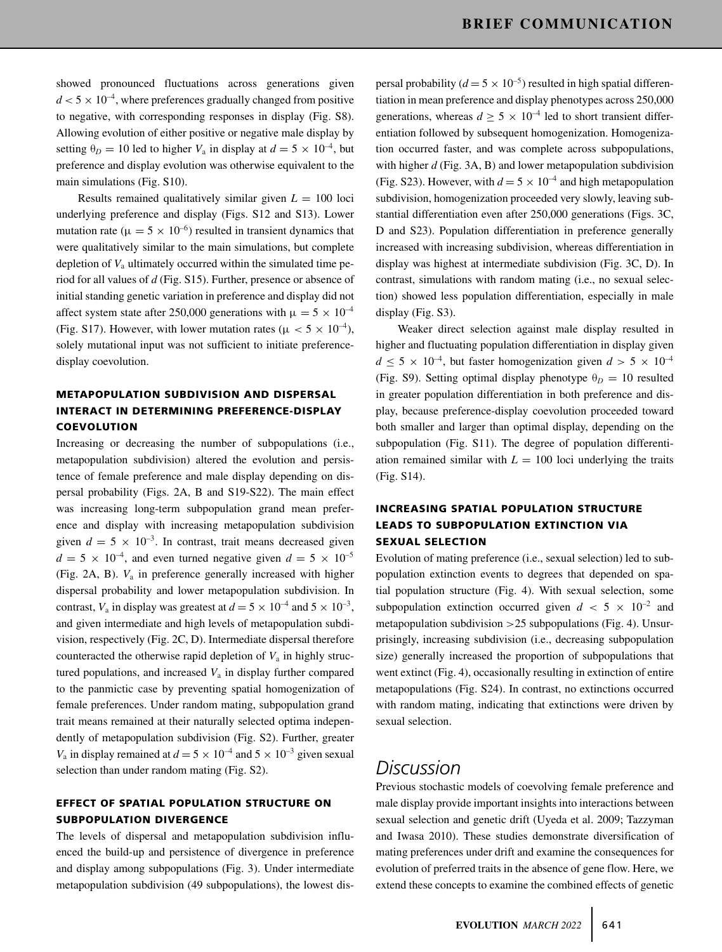showed pronounced fluctuations across generations given  $d < 5 \times 10^{-4}$ , where preferences gradually changed from positive to negative, with corresponding responses in display (Fig. S8). Allowing evolution of either positive or negative male display by setting  $\theta_D = 10$  led to higher  $V_a$  in display at  $d = 5 \times 10^{-4}$ , but preference and display evolution was otherwise equivalent to the main simulations (Fig. S10).

Results remained qualitatively similar given  $L = 100$  loci underlying preference and display (Figs. S12 and S13). Lower mutation rate ( $\mu = 5 \times 10^{-6}$ ) resulted in transient dynamics that were qualitatively similar to the main simulations, but complete depletion of  $V_a$  ultimately occurred within the simulated time period for all values of *d* (Fig. S15). Further, presence or absence of initial standing genetic variation in preference and display did not affect system state after 250,000 generations with  $\mu = 5 \times 10^{-4}$ (Fig. S17). However, with lower mutation rates ( $\mu < 5 \times 10^{-4}$ ), solely mutational input was not sufficient to initiate preferencedisplay coevolution.

## **METAPOPULATION SUBDIVISION AND DISPERSAL INTERACT IN DETERMINING PREFERENCE-DISPLAY COEVOLUTION**

Increasing or decreasing the number of subpopulations (i.e., metapopulation subdivision) altered the evolution and persistence of female preference and male display depending on dispersal probability (Figs. 2A, B and S19-S22). The main effect was increasing long-term subpopulation grand mean preference and display with increasing metapopulation subdivision given  $d = 5 \times 10^{-3}$ . In contrast, trait means decreased given  $d = 5 \times 10^{-4}$ , and even turned negative given  $d = 5 \times 10^{-5}$ (Fig. 2A, B).  $V_a$  in preference generally increased with higher dispersal probability and lower metapopulation subdivision. In contrast,  $V_a$  in display was greatest at  $d = 5 \times 10^{-4}$  and  $5 \times 10^{-3}$ , and given intermediate and high levels of metapopulation subdivision, respectively (Fig. 2C, D). Intermediate dispersal therefore counteracted the otherwise rapid depletion of  $V_a$  in highly structured populations, and increased  $V_a$  in display further compared to the panmictic case by preventing spatial homogenization of female preferences. Under random mating, subpopulation grand trait means remained at their naturally selected optima independently of metapopulation subdivision (Fig. S2). Further, greater  $V_a$  in display remained at  $d = 5 \times 10^{-4}$  and  $5 \times 10^{-3}$  given sexual selection than under random mating (Fig. S2).

## **EFFECT OF SPATIAL POPULATION STRUCTURE ON SUBPOPULATION DIVERGENCE**

The levels of dispersal and metapopulation subdivision influenced the build-up and persistence of divergence in preference and display among subpopulations (Fig. 3). Under intermediate metapopulation subdivision (49 subpopulations), the lowest dispersal probability ( $d = 5 \times 10^{-5}$ ) resulted in high spatial differentiation in mean preference and display phenotypes across 250,000 generations, whereas  $d \geq 5 \times 10^{-4}$  led to short transient differentiation followed by subsequent homogenization. Homogenization occurred faster, and was complete across subpopulations, with higher *d* (Fig. 3A, B) and lower metapopulation subdivision (Fig. S23). However, with  $d = 5 \times 10^{-4}$  and high metapopulation subdivision, homogenization proceeded very slowly, leaving substantial differentiation even after 250,000 generations (Figs. 3C, D and S23). Population differentiation in preference generally increased with increasing subdivision, whereas differentiation in display was highest at intermediate subdivision (Fig. 3C, D). In contrast, simulations with random mating (i.e., no sexual selection) showed less population differentiation, especially in male display (Fig. S3).

Weaker direct selection against male display resulted in higher and fluctuating population differentiation in display given  $d \leq 5 \times 10^{-4}$ , but faster homogenization given  $d > 5 \times 10^{-4}$ (Fig. S9). Setting optimal display phenotype  $\theta_D = 10$  resulted in greater population differentiation in both preference and display, because preference-display coevolution proceeded toward both smaller and larger than optimal display, depending on the subpopulation (Fig. S11). The degree of population differentiation remained similar with  $L = 100$  loci underlying the traits (Fig. S14).

## **INCREASING SPATIAL POPULATION STRUCTURE LEADS TO SUBPOPULATION EXTINCTION VIA SEXUAL SELECTION**

Evolution of mating preference (i.e., sexual selection) led to subpopulation extinction events to degrees that depended on spatial population structure (Fig. 4). With sexual selection, some subpopulation extinction occurred given  $d < 5 \times 10^{-2}$  and metapopulation subdivision  $>25$  subpopulations (Fig. 4). Unsurprisingly, increasing subdivision (i.e., decreasing subpopulation size) generally increased the proportion of subpopulations that went extinct (Fig. 4), occasionally resulting in extinction of entire metapopulations (Fig. S24). In contrast, no extinctions occurred with random mating, indicating that extinctions were driven by sexual selection.

# *Discussion*

Previous stochastic models of coevolving female preference and male display provide important insights into interactions between sexual selection and genetic drift (Uyeda et al. 2009; Tazzyman and Iwasa 2010). These studies demonstrate diversification of mating preferences under drift and examine the consequences for evolution of preferred traits in the absence of gene flow. Here, we extend these concepts to examine the combined effects of genetic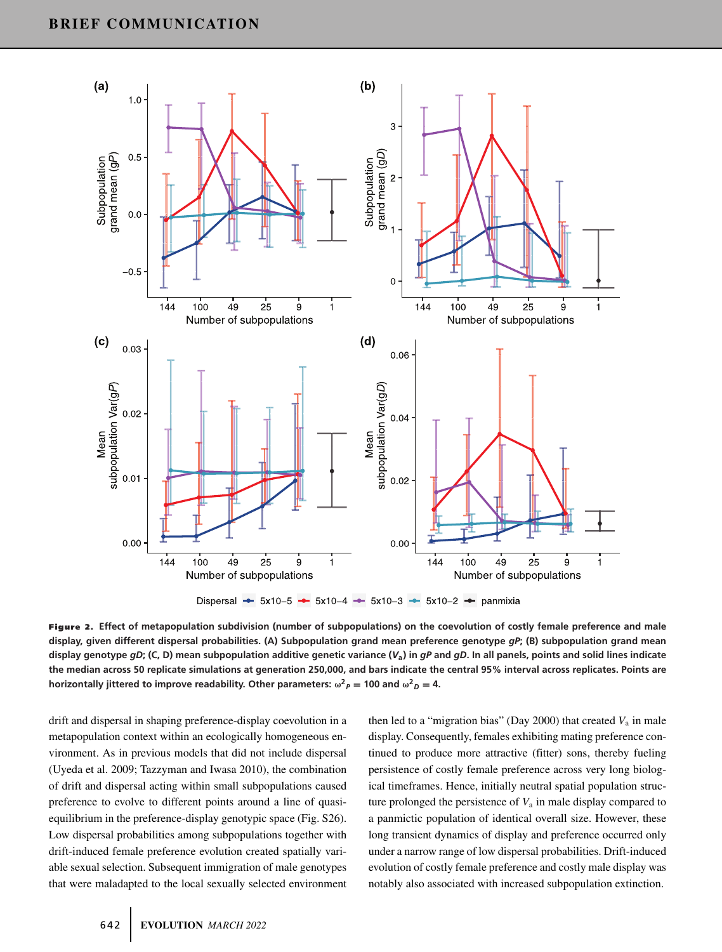

**Figure 2. Effect of metapopulation subdivision (number of subpopulations) on the coevolution of costly female preference and male display, given different dispersal probabilities. (A) Subpopulation grand mean preference genotype** *gP***; (B) subpopulation grand mean display genotype** *gD***; (C, D) mean subpopulation additive genetic variance (***V***a) in** *gP* **and** *gD***. In all panels, points and solid lines indicate the median across 50 replicate simulations at generation 250,000, and bars indicate the central 95% interval across replicates. Points are horizontally jittered to improve readability. Other parameters:**  $\omega^2 P = 100$  **and**  $\omega^2 D = 4$ **.** 

drift and dispersal in shaping preference-display coevolution in a metapopulation context within an ecologically homogeneous environment. As in previous models that did not include dispersal (Uyeda et al. 2009; Tazzyman and Iwasa 2010), the combination of drift and dispersal acting within small subpopulations caused preference to evolve to different points around a line of quasiequilibrium in the preference-display genotypic space (Fig. S26). Low dispersal probabilities among subpopulations together with drift-induced female preference evolution created spatially variable sexual selection. Subsequent immigration of male genotypes that were maladapted to the local sexually selected environment

then led to a "migration bias" (Day 2000) that created  $V_a$  in male display. Consequently, females exhibiting mating preference continued to produce more attractive (fitter) sons, thereby fueling persistence of costly female preference across very long biological timeframes. Hence, initially neutral spatial population structure prolonged the persistence of  $V_a$  in male display compared to a panmictic population of identical overall size. However, these long transient dynamics of display and preference occurred only under a narrow range of low dispersal probabilities. Drift-induced evolution of costly female preference and costly male display was notably also associated with increased subpopulation extinction.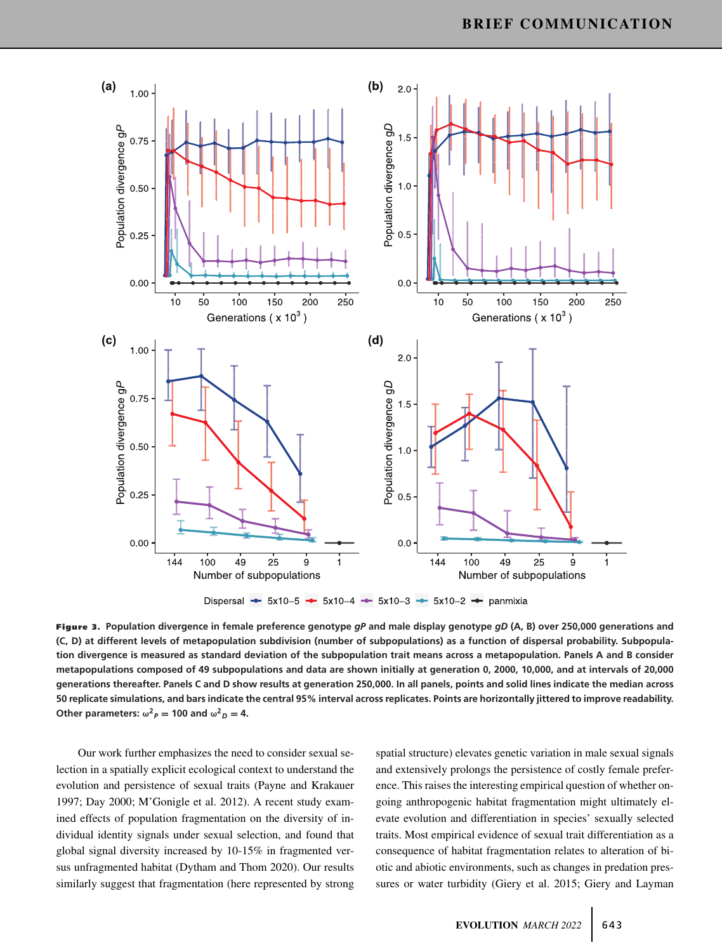

**Figure 3. Population divergence in female preference genotype** *gP* **and male display genotype** *gD* **(A, B) over 250,000 generations and (C, D) at different levels of metapopulation subdivision (number of subpopulations) as a function of dispersal probability. Subpopulation divergence is measured as standard deviation of the subpopulation trait means across a metapopulation. Panels A and B consider metapopulations composed of 49 subpopulations and data are shown initially at generation 0, 2000, 10,000, and at intervals of 20,000 generations thereafter. Panels C and D show results at generation 250,000. In all panels, points and solid lines indicate the median across 50 replicate simulations, and bars indicate the central 95% interval across replicates. Points are horizontally jittered to improve readability.** Other parameters:  $\omega^2 P = 100$  and  $\omega^2 D = 4$ .

Our work further emphasizes the need to consider sexual selection in a spatially explicit ecological context to understand the evolution and persistence of sexual traits (Payne and Krakauer 1997; Day 2000; M'Gonigle et al. 2012). A recent study examined effects of population fragmentation on the diversity of individual identity signals under sexual selection, and found that global signal diversity increased by 10-15% in fragmented versus unfragmented habitat (Dytham and Thom 2020). Our results similarly suggest that fragmentation (here represented by strong

spatial structure) elevates genetic variation in male sexual signals and extensively prolongs the persistence of costly female preference. This raises the interesting empirical question of whether ongoing anthropogenic habitat fragmentation might ultimately elevate evolution and differentiation in species' sexually selected traits. Most empirical evidence of sexual trait differentiation as a consequence of habitat fragmentation relates to alteration of biotic and abiotic environments, such as changes in predation pressures or water turbidity (Giery et al. 2015; Giery and Layman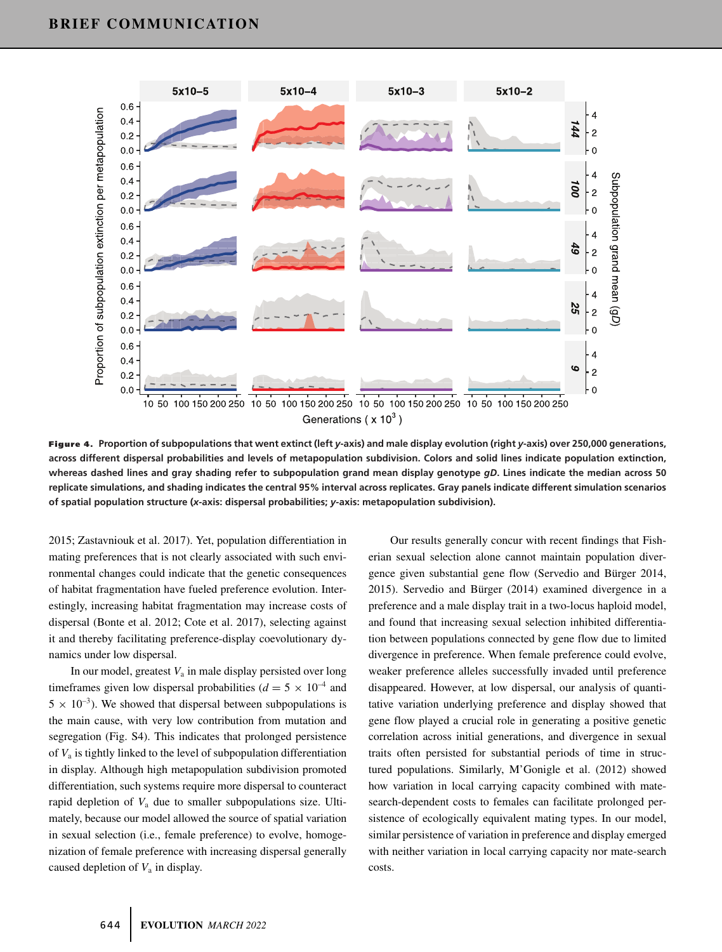

**Figure 4. Proportion of subpopulations that went extinct (left** *<sup>y</sup>***-axis) and male display evolution (right** *<sup>y</sup>***-axis) over 250,000 generations, across different dispersal probabilities and levels of metapopulation subdivision. Colors and solid lines indicate population extinction, whereas dashed lines and gray shading refer to subpopulation grand mean display genotype** *gD***. Lines indicate the median across 50 replicate simulations, and shading indicates the central 95% interval across replicates. Gray panels indicate different simulation scenarios of spatial population structure (***x***-axis: dispersal probabilities;** *y***-axis: metapopulation subdivision).**

2015; Zastavniouk et al. 2017). Yet, population differentiation in mating preferences that is not clearly associated with such environmental changes could indicate that the genetic consequences of habitat fragmentation have fueled preference evolution. Interestingly, increasing habitat fragmentation may increase costs of dispersal (Bonte et al. 2012; Cote et al. 2017), selecting against it and thereby facilitating preference-display coevolutionary dynamics under low dispersal.

In our model, greatest  $V_a$  in male display persisted over long timeframes given low dispersal probabilities ( $d = 5 \times 10^{-4}$  and  $5 \times 10^{-3}$ ). We showed that dispersal between subpopulations is the main cause, with very low contribution from mutation and segregation (Fig. S4). This indicates that prolonged persistence of  $V_a$  is tightly linked to the level of subpopulation differentiation in display. Although high metapopulation subdivision promoted differentiation, such systems require more dispersal to counteract rapid depletion of *V*<sup>a</sup> due to smaller subpopulations size. Ultimately, because our model allowed the source of spatial variation in sexual selection (i.e., female preference) to evolve, homogenization of female preference with increasing dispersal generally caused depletion of *V*<sup>a</sup> in display.

Our results generally concur with recent findings that Fisherian sexual selection alone cannot maintain population divergence given substantial gene flow (Servedio and Bürger 2014, 2015). Servedio and Bürger (2014) examined divergence in a preference and a male display trait in a two-locus haploid model, and found that increasing sexual selection inhibited differentiation between populations connected by gene flow due to limited divergence in preference. When female preference could evolve, weaker preference alleles successfully invaded until preference disappeared. However, at low dispersal, our analysis of quantitative variation underlying preference and display showed that gene flow played a crucial role in generating a positive genetic correlation across initial generations, and divergence in sexual traits often persisted for substantial periods of time in structured populations. Similarly, M'Gonigle et al. (2012) showed how variation in local carrying capacity combined with matesearch-dependent costs to females can facilitate prolonged persistence of ecologically equivalent mating types. In our model, similar persistence of variation in preference and display emerged with neither variation in local carrying capacity nor mate-search costs.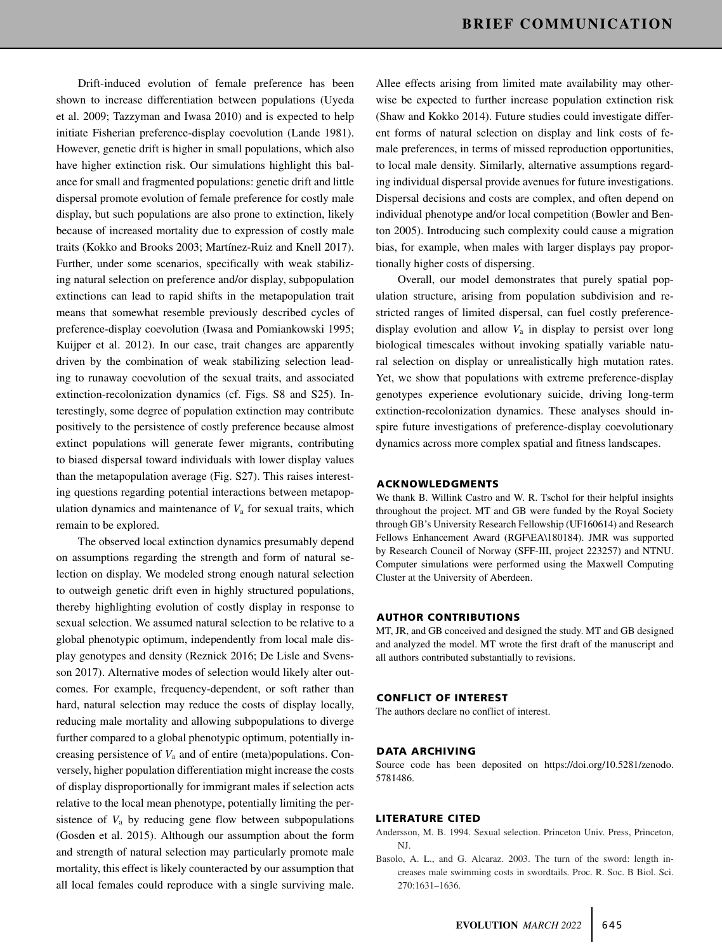Drift-induced evolution of female preference has been shown to increase differentiation between populations (Uyeda et al. 2009; Tazzyman and Iwasa 2010) and is expected to help initiate Fisherian preference-display coevolution (Lande 1981). However, genetic drift is higher in small populations, which also have higher extinction risk. Our simulations highlight this balance for small and fragmented populations: genetic drift and little dispersal promote evolution of female preference for costly male display, but such populations are also prone to extinction, likely because of increased mortality due to expression of costly male traits (Kokko and Brooks 2003; Martínez-Ruiz and Knell 2017). Further, under some scenarios, specifically with weak stabilizing natural selection on preference and/or display, subpopulation extinctions can lead to rapid shifts in the metapopulation trait means that somewhat resemble previously described cycles of preference-display coevolution (Iwasa and Pomiankowski 1995; Kuijper et al. 2012). In our case, trait changes are apparently driven by the combination of weak stabilizing selection leading to runaway coevolution of the sexual traits, and associated extinction-recolonization dynamics (cf. Figs. S8 and S25). Interestingly, some degree of population extinction may contribute positively to the persistence of costly preference because almost extinct populations will generate fewer migrants, contributing to biased dispersal toward individuals with lower display values than the metapopulation average (Fig. S27). This raises interesting questions regarding potential interactions between metapopulation dynamics and maintenance of  $V_a$  for sexual traits, which remain to be explored.

The observed local extinction dynamics presumably depend on assumptions regarding the strength and form of natural selection on display. We modeled strong enough natural selection to outweigh genetic drift even in highly structured populations, thereby highlighting evolution of costly display in response to sexual selection. We assumed natural selection to be relative to a global phenotypic optimum, independently from local male display genotypes and density (Reznick 2016; De Lisle and Svensson 2017). Alternative modes of selection would likely alter outcomes. For example, frequency-dependent, or soft rather than hard, natural selection may reduce the costs of display locally, reducing male mortality and allowing subpopulations to diverge further compared to a global phenotypic optimum, potentially increasing persistence of *V*<sup>a</sup> and of entire (meta)populations. Conversely, higher population differentiation might increase the costs of display disproportionally for immigrant males if selection acts relative to the local mean phenotype, potentially limiting the persistence of  $V_a$  by reducing gene flow between subpopulations (Gosden et al. 2015). Although our assumption about the form and strength of natural selection may particularly promote male mortality, this effect is likely counteracted by our assumption that all local females could reproduce with a single surviving male.

Allee effects arising from limited mate availability may otherwise be expected to further increase population extinction risk (Shaw and Kokko 2014). Future studies could investigate different forms of natural selection on display and link costs of female preferences, in terms of missed reproduction opportunities, to local male density. Similarly, alternative assumptions regarding individual dispersal provide avenues for future investigations. Dispersal decisions and costs are complex, and often depend on individual phenotype and/or local competition (Bowler and Benton 2005). Introducing such complexity could cause a migration bias, for example, when males with larger displays pay proportionally higher costs of dispersing.

Overall, our model demonstrates that purely spatial population structure, arising from population subdivision and restricted ranges of limited dispersal, can fuel costly preferencedisplay evolution and allow  $V_a$  in display to persist over long biological timescales without invoking spatially variable natural selection on display or unrealistically high mutation rates. Yet, we show that populations with extreme preference-display genotypes experience evolutionary suicide, driving long-term extinction-recolonization dynamics. These analyses should inspire future investigations of preference-display coevolutionary dynamics across more complex spatial and fitness landscapes.

#### **ACKNOWLEDGMENTS**

We thank B. Willink Castro and W. R. Tschol for their helpful insights throughout the project. MT and GB were funded by the Royal Society through GB's University Research Fellowship (UF160614) and Research Fellows Enhancement Award (RGF\EA\180184). JMR was supported by Research Council of Norway (SFF-III, project 223257) and NTNU. Computer simulations were performed using the Maxwell Computing Cluster at the University of Aberdeen.

#### **AUTHOR CONTRIBUTIONS**

MT, JR, and GB conceived and designed the study. MT and GB designed and analyzed the model. MT wrote the first draft of the manuscript and all authors contributed substantially to revisions.

#### **CONFLICT OF INTEREST**

The authors declare no conflict of interest.

#### **DATA ARCHIVING**

Source code has been deposited on [https://doi.org/10.5281/zenodo.](https://doi.org/10.5281/zenodo.5781486) [5781486.](https://doi.org/10.5281/zenodo.5781486)

#### **LITERATURE CITED**

- Andersson, M. B. 1994. Sexual selection. Princeton Univ. Press, Princeton, NJ.
- Basolo, A. L., and G. Alcaraz. 2003. The turn of the sword: length increases male swimming costs in swordtails. Proc. R. Soc. B Biol. Sci. 270:1631–1636.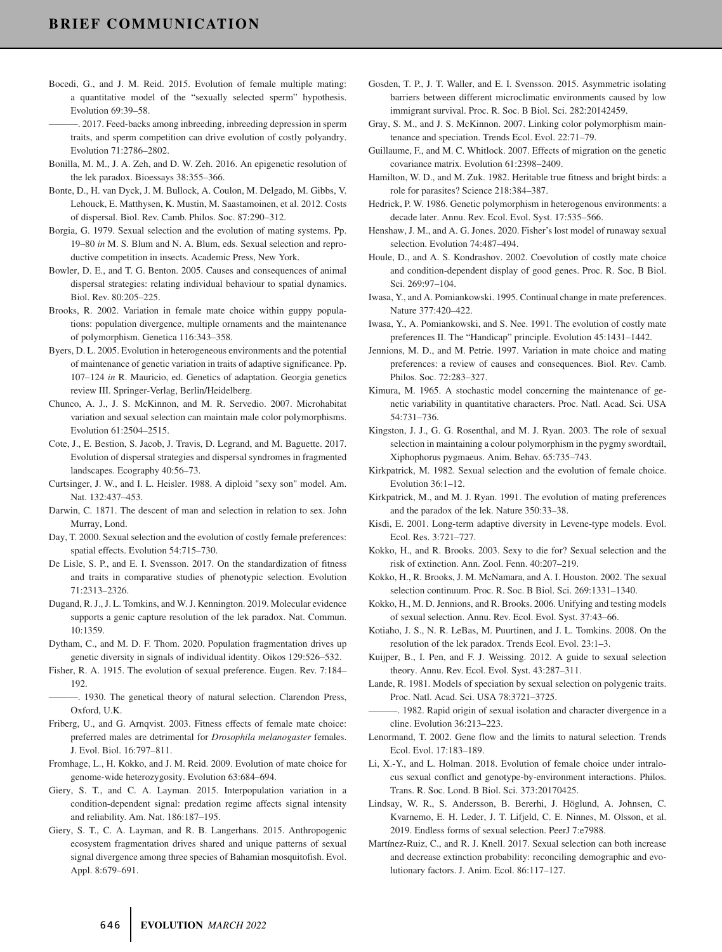- Bocedi, G., and J. M. Reid. 2015. Evolution of female multiple mating: a quantitative model of the "sexually selected sperm" hypothesis. Evolution 69:39–58.
- ———. 2017. Feed-backs among inbreeding, inbreeding depression in sperm traits, and sperm competition can drive evolution of costly polyandry. Evolution 71:2786–2802.
- Bonilla, M. M., J. A. Zeh, and D. W. Zeh. 2016. An epigenetic resolution of the lek paradox. Bioessays 38:355–366.
- Bonte, D., H. van Dyck, J. M. Bullock, A. Coulon, M. Delgado, M. Gibbs, V. Lehouck, E. Matthysen, K. Mustin, M. Saastamoinen, et al. 2012. Costs of dispersal. Biol. Rev. Camb. Philos. Soc. 87:290–312.
- Borgia, G. 1979. Sexual selection and the evolution of mating systems. Pp. 19–80 *in* M. S. Blum and N. A. Blum, eds. Sexual selection and reproductive competition in insects. Academic Press, New York.
- Bowler, D. E., and T. G. Benton. 2005. Causes and consequences of animal dispersal strategies: relating individual behaviour to spatial dynamics. Biol. Rev. 80:205–225.
- Brooks, R. 2002. Variation in female mate choice within guppy populations: population divergence, multiple ornaments and the maintenance of polymorphism. Genetica 116:343–358.
- Byers, D. L. 2005. Evolution in heterogeneous environments and the potential of maintenance of genetic variation in traits of adaptive significance. Pp. 107–124 *in* R. Mauricio, ed. Genetics of adaptation. Georgia genetics review III. Springer-Verlag, Berlin/Heidelberg.
- Chunco, A. J., J. S. McKinnon, and M. R. Servedio. 2007. Microhabitat variation and sexual selection can maintain male color polymorphisms. Evolution 61:2504–2515.
- Cote, J., E. Bestion, S. Jacob, J. Travis, D. Legrand, and M. Baguette. 2017. Evolution of dispersal strategies and dispersal syndromes in fragmented landscapes. Ecography 40:56–73.
- Curtsinger, J. W., and I. L. Heisler. 1988. A diploid "sexy son" model. Am. Nat. 132:437–453.
- Darwin, C. 1871. The descent of man and selection in relation to sex. John Murray, Lond.
- Day, T. 2000. Sexual selection and the evolution of costly female preferences: spatial effects. Evolution 54:715–730.
- De Lisle, S. P., and E. I. Svensson. 2017. On the standardization of fitness and traits in comparative studies of phenotypic selection. Evolution 71:2313–2326.
- Dugand, R. J., J. L. Tomkins, and W. J. Kennington. 2019. Molecular evidence supports a genic capture resolution of the lek paradox. Nat. Commun. 10:1359.
- Dytham, C., and M. D. F. Thom. 2020. Population fragmentation drives up genetic diversity in signals of individual identity. Oikos 129:526–532.
- Fisher, R. A. 1915. The evolution of sexual preference. Eugen. Rev. 7:184– 192.
- -. 1930. The genetical theory of natural selection. Clarendon Press, Oxford, U.K.
- Friberg, U., and G. Arnqvist. 2003. Fitness effects of female mate choice: preferred males are detrimental for *Drosophila melanogaster* females. J. Evol. Biol. 16:797–811.
- Fromhage, L., H. Kokko, and J. M. Reid. 2009. Evolution of mate choice for genome-wide heterozygosity. Evolution 63:684–694.
- Giery, S. T., and C. A. Layman. 2015. Interpopulation variation in a condition-dependent signal: predation regime affects signal intensity and reliability. Am. Nat. 186:187–195.
- Giery, S. T., C. A. Layman, and R. B. Langerhans. 2015. Anthropogenic ecosystem fragmentation drives shared and unique patterns of sexual signal divergence among three species of Bahamian mosquitofish. Evol. Appl. 8:679–691.
- Gosden, T. P., J. T. Waller, and E. I. Svensson. 2015. Asymmetric isolating barriers between different microclimatic environments caused by low immigrant survival. Proc. R. Soc. B Biol. Sci. 282:20142459.
- Gray, S. M., and J. S. McKinnon. 2007. Linking color polymorphism maintenance and speciation. Trends Ecol. Evol. 22:71–79.
- Guillaume, F., and M. C. Whitlock. 2007. Effects of migration on the genetic covariance matrix. Evolution 61:2398–2409.
- Hamilton, W. D., and M. Zuk. 1982. Heritable true fitness and bright birds: a role for parasites? Science 218:384–387.
- Hedrick, P. W. 1986. Genetic polymorphism in heterogenous environments: a decade later. Annu. Rev. Ecol. Evol. Syst. 17:535–566.
- Henshaw, J. M., and A. G. Jones. 2020. Fisher's lost model of runaway sexual selection. Evolution 74:487–494.
- Houle, D., and A. S. Kondrashov. 2002. Coevolution of costly mate choice and condition-dependent display of good genes. Proc. R. Soc. B Biol. Sci. 269:97–104.
- Iwasa, Y., and A. Pomiankowski. 1995. Continual change in mate preferences. Nature 377:420–422.
- Iwasa, Y., A. Pomiankowski, and S. Nee. 1991. The evolution of costly mate preferences II. The "Handicap" principle. Evolution 45:1431–1442.
- Jennions, M. D., and M. Petrie. 1997. Variation in mate choice and mating preferences: a review of causes and consequences. Biol. Rev. Camb. Philos. Soc. 72:283–327.
- Kimura, M. 1965. A stochastic model concerning the maintenance of genetic variability in quantitative characters. Proc. Natl. Acad. Sci. USA 54:731–736.
- Kingston, J. J., G. G. Rosenthal, and M. J. Ryan. 2003. The role of sexual selection in maintaining a colour polymorphism in the pygmy swordtail, Xiphophorus pygmaeus. Anim. Behav. 65:735–743.
- Kirkpatrick, M. 1982. Sexual selection and the evolution of female choice. Evolution 36:1–12.
- Kirkpatrick, M., and M. J. Ryan. 1991. The evolution of mating preferences and the paradox of the lek. Nature 350:33–38.
- Kisdi, E. 2001. Long-term adaptive diversity in Levene-type models. Evol. Ecol. Res. 3:721–727.
- Kokko, H., and R. Brooks. 2003. Sexy to die for? Sexual selection and the risk of extinction. Ann. Zool. Fenn. 40:207–219.
- Kokko, H., R. Brooks, J. M. McNamara, and A. I. Houston. 2002. The sexual selection continuum. Proc. R. Soc. B Biol. Sci. 269:1331–1340.
- Kokko, H., M. D. Jennions, and R. Brooks. 2006. Unifying and testing models of sexual selection. Annu. Rev. Ecol. Evol. Syst. 37:43–66.
- Kotiaho, J. S., N. R. LeBas, M. Puurtinen, and J. L. Tomkins. 2008. On the resolution of the lek paradox. Trends Ecol. Evol. 23:1–3.
- Kuijper, B., I. Pen, and F. J. Weissing. 2012. A guide to sexual selection theory. Annu. Rev. Ecol. Evol. Syst. 43:287–311.
- Lande, R. 1981. Models of speciation by sexual selection on polygenic traits. Proc. Natl. Acad. Sci. USA 78:3721–3725.
- -. 1982. Rapid origin of sexual isolation and character divergence in a cline. Evolution 36:213–223.
- Lenormand, T. 2002. Gene flow and the limits to natural selection. Trends Ecol. Evol. 17:183–189.
- Li, X.-Y., and L. Holman. 2018. Evolution of female choice under intralocus sexual conflict and genotype-by-environment interactions. Philos. Trans. R. Soc. Lond. B Biol. Sci. 373:20170425.
- Lindsay, W. R., S. Andersson, B. Bererhi, J. Höglund, A. Johnsen, C. Kvarnemo, E. H. Leder, J. T. Lifjeld, C. E. Ninnes, M. Olsson, et al. 2019. Endless forms of sexual selection. PeerJ 7:e7988.
- Martínez-Ruiz, C., and R. J. Knell. 2017. Sexual selection can both increase and decrease extinction probability: reconciling demographic and evolutionary factors. J. Anim. Ecol. 86:117–127.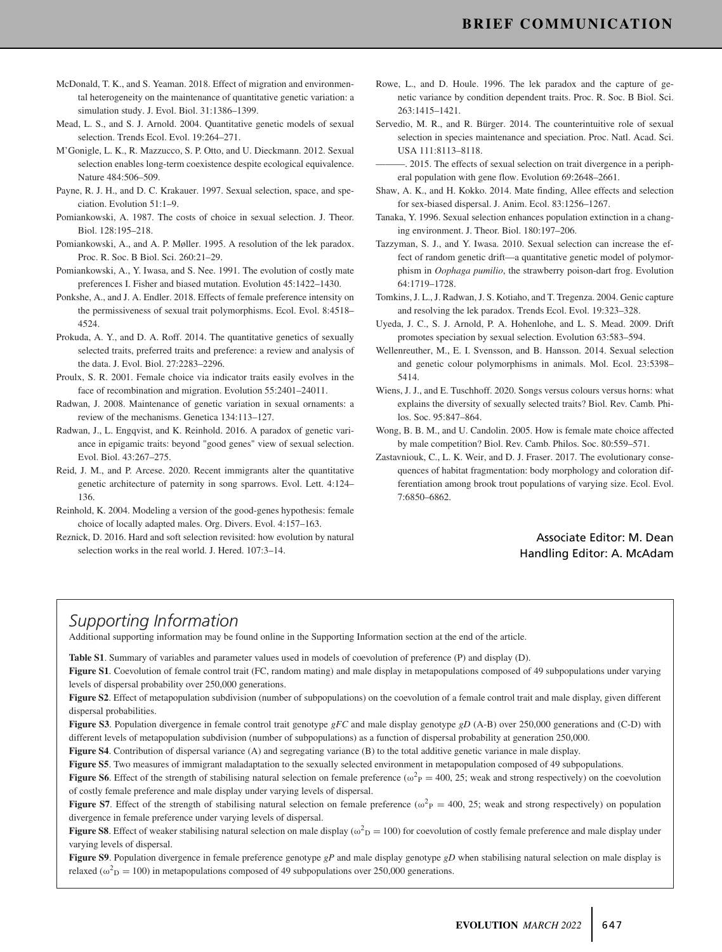- McDonald, T. K., and S. Yeaman. 2018. Effect of migration and environmental heterogeneity on the maintenance of quantitative genetic variation: a simulation study. J. Evol. Biol. 31:1386–1399.
- Mead, L. S., and S. J. Arnold. 2004. Quantitative genetic models of sexual selection. Trends Ecol. Evol. 19:264–271.
- M'Gonigle, L. K., R. Mazzucco, S. P. Otto, and U. Dieckmann. 2012. Sexual selection enables long-term coexistence despite ecological equivalence. Nature 484:506–509.
- Payne, R. J. H., and D. C. Krakauer. 1997. Sexual selection, space, and speciation. Evolution 51:1–9.
- Pomiankowski, A. 1987. The costs of choice in sexual selection. J. Theor. Biol. 128:195–218.
- Pomiankowski, A., and A. P. Møller. 1995. A resolution of the lek paradox. Proc. R. Soc. B Biol. Sci. 260:21–29.
- Pomiankowski, A., Y. Iwasa, and S. Nee. 1991. The evolution of costly mate preferences I. Fisher and biased mutation. Evolution 45:1422–1430.
- Ponkshe, A., and J. A. Endler. 2018. Effects of female preference intensity on the permissiveness of sexual trait polymorphisms. Ecol. Evol. 8:4518– 4524.
- Prokuda, A. Y., and D. A. Roff. 2014. The quantitative genetics of sexually selected traits, preferred traits and preference: a review and analysis of the data. J. Evol. Biol. 27:2283–2296.
- Proulx, S. R. 2001. Female choice via indicator traits easily evolves in the face of recombination and migration. Evolution 55:2401–24011.
- Radwan, J. 2008. Maintenance of genetic variation in sexual ornaments: a review of the mechanisms. Genetica 134:113–127.
- Radwan, J., L. Engqvist, and K. Reinhold. 2016. A paradox of genetic variance in epigamic traits: beyond "good genes" view of sexual selection. Evol. Biol. 43:267–275.
- Reid, J. M., and P. Arcese. 2020. Recent immigrants alter the quantitative genetic architecture of paternity in song sparrows. Evol. Lett. 4:124– 136.
- Reinhold, K. 2004. Modeling a version of the good-genes hypothesis: female choice of locally adapted males. Org. Divers. Evol. 4:157–163.
- Reznick, D. 2016. Hard and soft selection revisited: how evolution by natural selection works in the real world. J. Hered. 107:3–14.
- Rowe, L., and D. Houle. 1996. The lek paradox and the capture of genetic variance by condition dependent traits. Proc. R. Soc. B Biol. Sci. 263:1415–1421.
- Servedio, M. R., and R. Bürger. 2014. The counterintuitive role of sexual selection in species maintenance and speciation. Proc. Natl. Acad. Sci. USA 111:8113–8118.
- ———. 2015. The effects of sexual selection on trait divergence in a peripheral population with gene flow. Evolution 69:2648–2661.
- Shaw, A. K., and H. Kokko. 2014. Mate finding, Allee effects and selection for sex-biased dispersal. J. Anim. Ecol. 83:1256–1267.
- Tanaka, Y. 1996. Sexual selection enhances population extinction in a changing environment. J. Theor. Biol. 180:197–206.
- Tazzyman, S. J., and Y. Iwasa. 2010. Sexual selection can increase the effect of random genetic drift—a quantitative genetic model of polymorphism in *Oophaga pumilio*, the strawberry poison-dart frog. Evolution 64:1719–1728.
- Tomkins, J. L., J. Radwan, J. S. Kotiaho, and T. Tregenza. 2004. Genic capture and resolving the lek paradox. Trends Ecol. Evol. 19:323–328.
- Uyeda, J. C., S. J. Arnold, P. A. Hohenlohe, and L. S. Mead. 2009. Drift promotes speciation by sexual selection. Evolution 63:583–594.
- Wellenreuther, M., E. I. Svensson, and B. Hansson. 2014. Sexual selection and genetic colour polymorphisms in animals. Mol. Ecol. 23:5398– 5414.
- Wiens, J. J., and E. Tuschhoff. 2020. Songs versus colours versus horns: what explains the diversity of sexually selected traits? Biol. Rev. Camb. Philos. Soc. 95:847–864.
- Wong, B. B. M., and U. Candolin. 2005. How is female mate choice affected by male competition? Biol. Rev. Camb. Philos. Soc. 80:559–571.
- Zastavniouk, C., L. K. Weir, and D. J. Fraser. 2017. The evolutionary consequences of habitat fragmentation: body morphology and coloration differentiation among brook trout populations of varying size. Ecol. Evol. 7:6850–6862.

## Associate Editor: M. Dean Handling Editor: A. McAdam

## *Supporting Information*

Additional supporting information may be found online in the Supporting Information section at the end of the article.

**Table S1**. Summary of variables and parameter values used in models of coevolution of preference (P) and display (D).

**Figure S1**. Coevolution of female control trait (FC, random mating) and male display in metapopulations composed of 49 subpopulations under varying levels of dispersal probability over 250,000 generations.

**Figure S2**. Effect of metapopulation subdivision (number of subpopulations) on the coevolution of a female control trait and male display, given different dispersal probabilities.

**Figure S3**. Population divergence in female control trait genotype *gFC* and male display genotype *gD* (A-B) over 250,000 generations and (C-D) with different levels of metapopulation subdivision (number of subpopulations) as a function of dispersal probability at generation 250,000.

**Figure S4**. Contribution of dispersal variance (A) and segregating variance (B) to the total additive genetic variance in male display.

**Figure S5**. Two measures of immigrant maladaptation to the sexually selected environment in metapopulation composed of 49 subpopulations.

**Figure S6**. Effect of the strength of stabilising natural selection on female preference ( $\omega_P^2 = 400$ , 25; weak and strong respectively) on the coevolution of costly female preference and male display under varying levels of dispersal.

**Figure S7**. Effect of the strength of stabilising natural selection on female preference ( $\omega^2$ <sub>P</sub> = 400, 25; weak and strong respectively) on population divergence in female preference under varying levels of dispersal.

**Figure S8**. Effect of weaker stabilising natural selection on male display ( $\omega^2$ <sub>D</sub> = 100) for coevolution of costly female preference and male display under varying levels of dispersal.

**Figure S9**. Population divergence in female preference genotype *gP* and male display genotype *gD* when stabilising natural selection on male display is relaxed ( $\omega_{\text{D}}^2 = 100$ ) in metapopulations composed of 49 subpopulations over 250,000 generations.